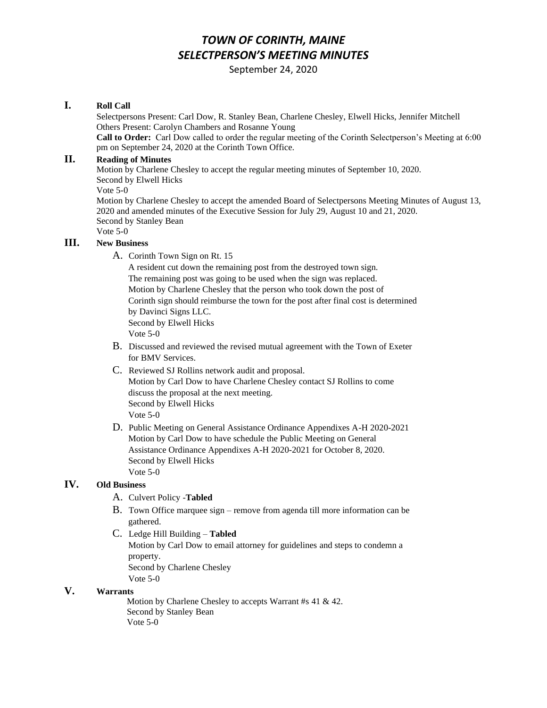# *TOWN OF CORINTH, MAINE SELECTPERSON'S MEETING MINUTES*

September 24, 2020

#### **I. Roll Call**

Selectpersons Present: Carl Dow, R. Stanley Bean, Charlene Chesley, Elwell Hicks, Jennifer Mitchell Others Present: Carolyn Chambers and Rosanne Young

**Call to Order:** Carl Dow called to order the regular meeting of the Corinth Selectperson's Meeting at 6:00 pm on September 24, 2020 at the Corinth Town Office.

#### **II. Reading of Minutes**

Motion by Charlene Chesley to accept the regular meeting minutes of September 10, 2020. Second by Elwell Hicks Vote 5-0

Motion by Charlene Chesley to accept the amended Board of Selectpersons Meeting Minutes of August 13, 2020 and amended minutes of the Executive Session for July 29, August 10 and 21, 2020. Second by Stanley Bean

Vote 5-0

#### **III. New Business**

A. Corinth Town Sign on Rt. 15

 A resident cut down the remaining post from the destroyed town sign. The remaining post was going to be used when the sign was replaced. Motion by Charlene Chesley that the person who took down the post of Corinth sign should reimburse the town for the post after final cost is determined by Davinci Signs LLC. Second by Elwell Hicks Vote 5-0

- B. Discussed and reviewed the revised mutual agreement with the Town of Exeter for BMV Services.
- C. Reviewed SJ Rollins network audit and proposal. Motion by Carl Dow to have Charlene Chesley contact SJ Rollins to come discuss the proposal at the next meeting. Second by Elwell Hicks Vote 5-0
- D. Public Meeting on General Assistance Ordinance Appendixes A-H 2020-2021 Motion by Carl Dow to have schedule the Public Meeting on General Assistance Ordinance Appendixes A-H 2020-2021 for October 8, 2020. Second by Elwell Hicks Vote 5-0

#### **IV. Old Business**

- A. Culvert Policy -**Tabled**
- B. Town Office marquee sign remove from agenda till more information can be gathered.
- C. Ledge Hill Building **Tabled** Motion by Carl Dow to email attorney for guidelines and steps to condemn a property. Second by Charlene Chesley Vote 5-0

### **V. Warrants**

 Motion by Charlene Chesley to accepts Warrant #s 41 & 42. Second by Stanley Bean Vote 5-0